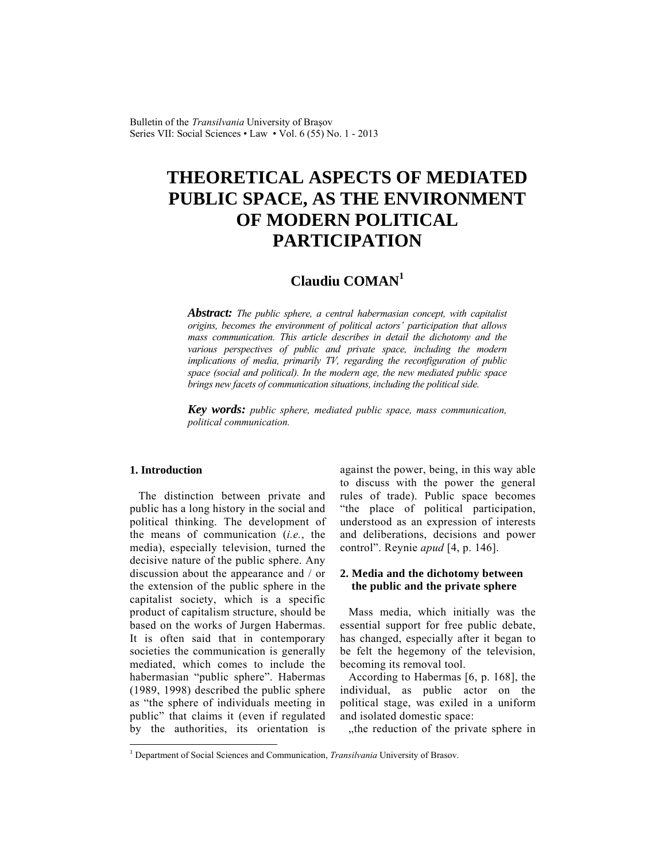Bulletin of the *Transilvania* University of Braşov Series VII: Social Sciences • Law • Vol. 6 (55) No. 1 - 2013

# **THEORETICAL ASPECTS OF MEDIATED PUBLIC SPACE, AS THE ENVIRONMENT OF MODERN POLITICAL PARTICIPATION**

# **Claudiu COMAN<sup>1</sup>**

*Abstract: The public sphere, a central habermasian concept, with capitalist origins, becomes the environment of political actors' participation that allows mass communication. This article describes in detail the dichotomy and the various perspectives of public and private space, including the modern implications of media, primarily TV, regarding the reconfiguration of public space (social and political). In the modern age, the new mediated public space brings new facets of communication situations, including the political side.* 

*Key words: public sphere, mediated public space, mass communication, political communication.* 

### **1. Introduction**

 $\overline{\phantom{a}}$ 

The distinction between private and public has a long history in the social and political thinking. The development of the means of communication (*i.e.*, the media), especially television, turned the decisive nature of the public sphere. Any discussion about the appearance and / or the extension of the public sphere in the capitalist society, which is a specific product of capitalism structure, should be based on the works of Jurgen Habermas. It is often said that in contemporary societies the communication is generally mediated, which comes to include the habermasian "public sphere". Habermas (1989, 1998) described the public sphere as "the sphere of individuals meeting in public" that claims it (even if regulated by the authorities, its orientation is against the power, being, in this way able to discuss with the power the general rules of trade). Public space becomes "the place of political participation, understood as an expression of interests and deliberations, decisions and power control". Reynie *apud* [4, p. 146].

#### **2. Media and the dichotomy between the public and the private sphere**

Mass media, which initially was the essential support for free public debate, has changed, especially after it began to be felt the hegemony of the television, becoming its removal tool.

According to Habermas [6, p. 168], the individual, as public actor on the political stage, was exiled in a uniform and isolated domestic space:

..the reduction of the private sphere in

<sup>&</sup>lt;sup>1</sup> Department of Social Sciences and Communication, *Transilvania* University of Brasov.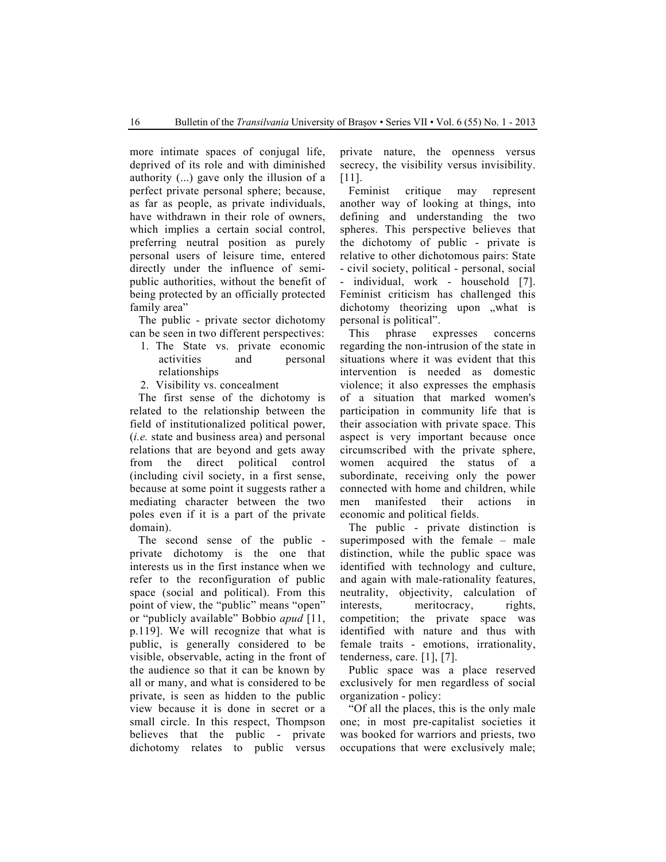more intimate spaces of conjugal life, deprived of its role and with diminished authority (...) gave only the illusion of a perfect private personal sphere; because, as far as people, as private individuals, have withdrawn in their role of owners, which implies a certain social control, preferring neutral position as purely personal users of leisure time, entered directly under the influence of semipublic authorities, without the benefit of being protected by an officially protected family area"

The public - private sector dichotomy can be seen in two different perspectives:

- 1. The State vs. private economic activities and personal relationships
- 2. Visibility vs. concealment

The first sense of the dichotomy is related to the relationship between the field of institutionalized political power, (*i.e.* state and business area) and personal relations that are beyond and gets away from the direct political control (including civil society, in a first sense, because at some point it suggests rather a mediating character between the two poles even if it is a part of the private domain).

The second sense of the public private dichotomy is the one that interests us in the first instance when we refer to the reconfiguration of public space (social and political). From this point of view, the "public" means "open" or "publicly available" Bobbio *apud* [11, p.119]. We will recognize that what is public, is generally considered to be visible, observable, acting in the front of the audience so that it can be known by all or many, and what is considered to be private, is seen as hidden to the public view because it is done in secret or a small circle. In this respect, Thompson believes that the public - private dichotomy relates to public versus

private nature, the openness versus secrecy, the visibility versus invisibility. [11].

Feminist critique may represent another way of looking at things, into defining and understanding the two spheres. This perspective believes that the dichotomy of public - private is relative to other dichotomous pairs: State - civil society, political - personal, social - individual, work - household [7]. Feminist criticism has challenged this dichotomy theorizing upon .what is personal is political".

This phrase expresses concerns regarding the non-intrusion of the state in situations where it was evident that this intervention is needed as domestic violence; it also expresses the emphasis of a situation that marked women's participation in community life that is their association with private space. This aspect is very important because once circumscribed with the private sphere, women acquired the status of a subordinate, receiving only the power connected with home and children, while men manifested their actions in economic and political fields.

The public - private distinction is superimposed with the female – male distinction, while the public space was identified with technology and culture, and again with male-rationality features, neutrality, objectivity, calculation of interests, meritocracy, rights, competition; the private space was identified with nature and thus with female traits - emotions, irrationality, tenderness, care. [1], [7].

Public space was a place reserved exclusively for men regardless of social organization - policy:

"Of all the places, this is the only male one; in most pre-capitalist societies it was booked for warriors and priests, two occupations that were exclusively male;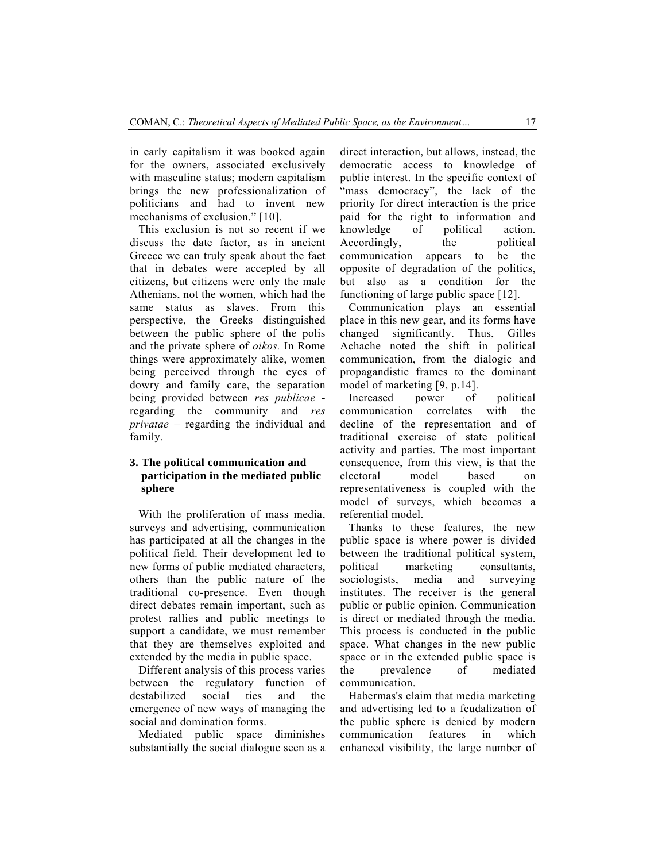in early capitalism it was booked again for the owners, associated exclusively with masculine status; modern capitalism brings the new professionalization of politicians and had to invent new mechanisms of exclusion." [10].

This exclusion is not so recent if we discuss the date factor, as in ancient Greece we can truly speak about the fact that in debates were accepted by all citizens, but citizens were only the male Athenians, not the women, which had the same status as slaves. From this perspective, the Greeks distinguished between the public sphere of the polis and the private sphere of *oikos.* In Rome things were approximately alike, women being perceived through the eyes of dowry and family care, the separation being provided between *res publicae* regarding the community and *res privatae* – regarding the individual and family.

## **3. The political communication and participation in the mediated public sphere**

With the proliferation of mass media, surveys and advertising, communication has participated at all the changes in the political field. Their development led to new forms of public mediated characters, others than the public nature of the traditional co-presence. Even though direct debates remain important, such as protest rallies and public meetings to support a candidate, we must remember that they are themselves exploited and extended by the media in public space.

Different analysis of this process varies between the regulatory function of destabilized social ties and the emergence of new ways of managing the social and domination forms.

Mediated public space diminishes substantially the social dialogue seen as a direct interaction, but allows, instead, the democratic access to knowledge of public interest. In the specific context of "mass democracy", the lack of the priority for direct interaction is the price paid for the right to information and knowledge of political action.<br>Accordingly, the political Accordingly, the communication appears to be the opposite of degradation of the politics, but also as a condition for the functioning of large public space [12].

Communication plays an essential place in this new gear, and its forms have changed significantly. Thus, Gilles Achache noted the shift in political communication, from the dialogic and propagandistic frames to the dominant model of marketing [9, p.14].

Increased power of political communication correlates with the decline of the representation and of traditional exercise of state political activity and parties. The most important consequence, from this view, is that the electoral model based on representativeness is coupled with the model of surveys, which becomes a referential model.

Thanks to these features, the new public space is where power is divided between the traditional political system, political marketing consultants, sociologists, media and surveying institutes. The receiver is the general public or public opinion. Communication is direct or mediated through the media. This process is conducted in the public space. What changes in the new public space or in the extended public space is the prevalence of mediated communication.

Habermas's claim that media marketing and advertising led to a feudalization of the public sphere is denied by modern communication features in which enhanced visibility, the large number of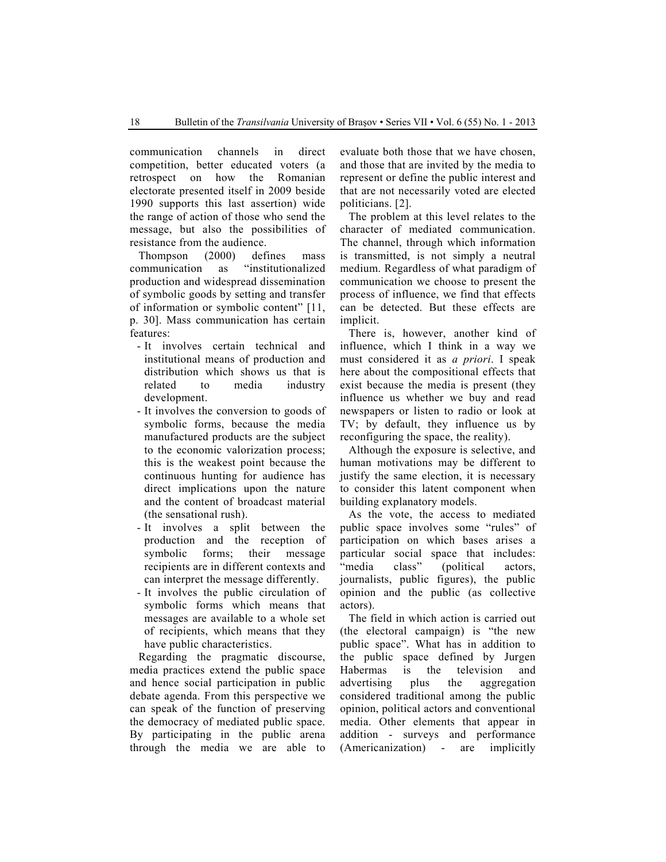communication channels in direct competition, better educated voters (a retrospect on how the Romanian electorate presented itself in 2009 beside 1990 supports this last assertion) wide the range of action of those who send the message, but also the possibilities of resistance from the audience.

Thompson (2000) defines mass communication as "institutionalized production and widespread dissemination of symbolic goods by setting and transfer of information or symbolic content" [11, p. 30]. Mass communication has certain features:

- It involves certain technical and institutional means of production and distribution which shows us that is related to media industry development.
- It involves the conversion to goods of symbolic forms, because the media manufactured products are the subject to the economic valorization process; this is the weakest point because the continuous hunting for audience has direct implications upon the nature and the content of broadcast material (the sensational rush).
- It involves a split between the production and the reception of symbolic forms; their message recipients are in different contexts and can interpret the message differently.
- It involves the public circulation of symbolic forms which means that messages are available to a whole set of recipients, which means that they have public characteristics.

Regarding the pragmatic discourse, media practices extend the public space and hence social participation in public debate agenda. From this perspective we can speak of the function of preserving the democracy of mediated public space. By participating in the public arena through the media we are able to evaluate both those that we have chosen, and those that are invited by the media to represent or define the public interest and that are not necessarily voted are elected politicians. [2].

The problem at this level relates to the character of mediated communication. The channel, through which information is transmitted, is not simply a neutral medium. Regardless of what paradigm of communication we choose to present the process of influence, we find that effects can be detected. But these effects are implicit.

There is, however, another kind of influence, which I think in a way we must considered it as *a priori*. I speak here about the compositional effects that exist because the media is present (they influence us whether we buy and read newspapers or listen to radio or look at TV; by default, they influence us by reconfiguring the space, the reality).

Although the exposure is selective, and human motivations may be different to justify the same election, it is necessary to consider this latent component when building explanatory models.

As the vote, the access to mediated public space involves some "rules" of participation on which bases arises a particular social space that includes: "media class" (political actors, journalists, public figures), the public opinion and the public (as collective actors).

The field in which action is carried out (the electoral campaign) is "the new public space". What has in addition to the public space defined by Jurgen Habermas is the television and advertising plus the aggregation considered traditional among the public opinion, political actors and conventional media. Other elements that appear in addition - surveys and performance (Americanization) - are implicitly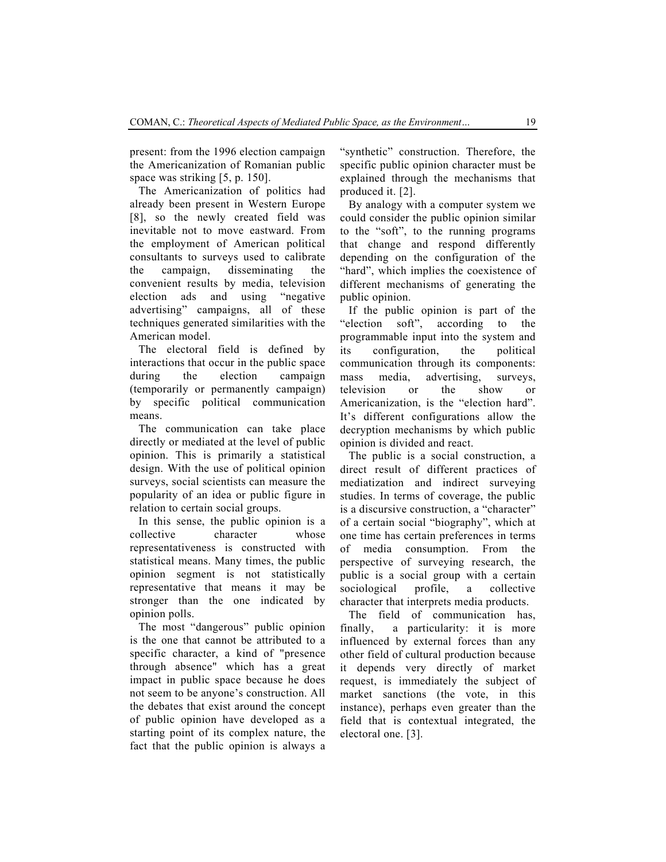present: from the 1996 election campaign the Americanization of Romanian public space was striking [5, p. 150].

The Americanization of politics had already been present in Western Europe [8], so the newly created field was inevitable not to move eastward. From the employment of American political consultants to surveys used to calibrate the campaign, disseminating the convenient results by media, television election ads and using "negative advertising" campaigns, all of these techniques generated similarities with the American model.

The electoral field is defined by interactions that occur in the public space during the election campaign (temporarily or permanently campaign) by specific political communication means.

The communication can take place directly or mediated at the level of public opinion. This is primarily a statistical design. With the use of political opinion surveys, social scientists can measure the popularity of an idea or public figure in relation to certain social groups.

In this sense, the public opinion is a collective character whose representativeness is constructed with statistical means. Many times, the public opinion segment is not statistically representative that means it may be stronger than the one indicated by opinion polls.

The most "dangerous" public opinion is the one that cannot be attributed to a specific character, a kind of "presence through absence" which has a great impact in public space because he does not seem to be anyone's construction. All the debates that exist around the concept of public opinion have developed as a starting point of its complex nature, the fact that the public opinion is always a "synthetic" construction. Therefore, the specific public opinion character must be explained through the mechanisms that produced it. [2].

By analogy with a computer system we could consider the public opinion similar to the "soft", to the running programs that change and respond differently depending on the configuration of the "hard", which implies the coexistence of different mechanisms of generating the public opinion.

If the public opinion is part of the "election soft", according to the programmable input into the system and its configuration, the political communication through its components: mass media, advertising, surveys, television or the show or Americanization, is the "election hard". It's different configurations allow the decryption mechanisms by which public opinion is divided and react.

The public is a social construction, a direct result of different practices of mediatization and indirect surveying studies. In terms of coverage, the public is a discursive construction, a "character" of a certain social "biography", which at one time has certain preferences in terms of media consumption. From the perspective of surveying research, the public is a social group with a certain sociological profile, a collective character that interprets media products.

The field of communication has, finally, a particularity: it is more influenced by external forces than any other field of cultural production because it depends very directly of market request, is immediately the subject of market sanctions (the vote, in this instance), perhaps even greater than the field that is contextual integrated, the electoral one. [3].